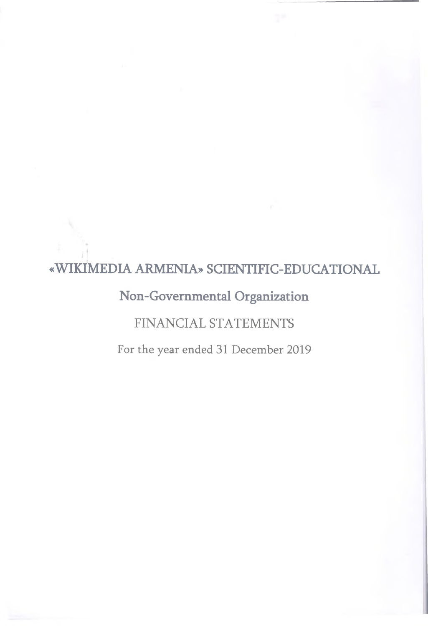

# «WIKIMEDIA ARMENIA» SCIENTIFIC-EDUCATIONAL

# Non-Governmental Organization

# FINANCIAL STATEMENTS

For the year ended 31 December 2019

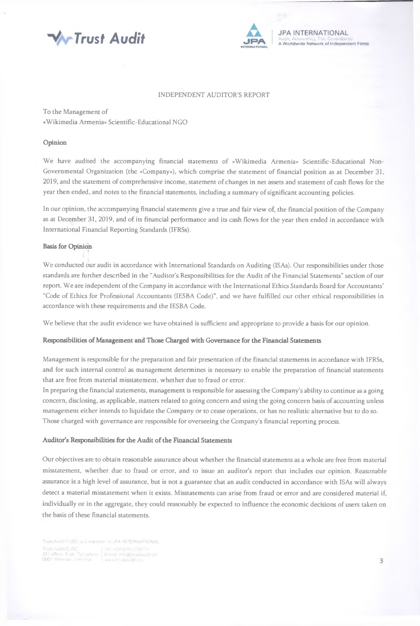



JPA INTERNATIONAL Audit Account.ng. Tax. Consultancy A Worldwide Network of Independent Fi

#### INDEPENDENT AUDITOR'S REPORT

To the Management of «Wikimedia Armenia» Scientific-Educational NGO

#### Opinion

We have audited the accompanying financial statements of «Wikimedia Armenia» Scientific-Educational Non-Governmental Organization (the «Company»), which comprise the statement of financial position as at December 31, 2019, and the statement of comprehensive income, statement of changes in net assets and statement of cash flows for the year then ended, and notes to the financial statements, including a summary of significant accounting policies.

We conducted our audit in accordance with International Standards on Auditing (ISAs). Our responsibilities under those standards are further described in the "Auditor's Responsibilities for the Audit of the Financial Statements" section of our report. We are independent of the Company in accordance with the International Ethics Standards Board for Accountants' "Code of Ethics for Professional Accountants (IESBA Code)", and we have fulfilled our other ethical responsibilities in accordance with these requirements and the IESBA Code.

In our opinion, the accompanying financial statements give a true and fair view of, the financial position of the Company as at December 31, 2019, and of its financial performance and its cash flows for the year then ended in accordance with International Financial Reporting Standards (IFRSs).

#### Basis for Opinion

We believe that the audit evidence we have obtained is sufficient and appropriate to provide a basis for our opinion.

Trust Audit CJSC | Tel ♦374(10) 516111 32<sup>1</sup> office, 8 Mr Tumanyon j Email info@trustaudfit arr 0001 Yannan, Armenia i www.thistaudtt.am 3

#### Responsibilities of Management and Those Charged with Governance for the Financial Statements

Management is responsible for the preparation and fair presentation of the financial statements in accordance with IFRSs, and for such internal control as management determines is necessary to enable the preparation of financial statements that are free from material misstatement, whether due to fraud or error.

In preparing the financial statements, management is responsible for assessing the Company's ability to continue as a going concern, disclosing, as applicable, matters related to going concern and using the going concern basis of accounting unless management either intends to liquidate the Company or to cease operations, or has no realistic alternative but to do so. Those charged with governance are responsible for overseeing the Company's financial reporting process.

#### Auditor's Responsibilities for the Audit of the Financial Statements

Our objectives are to obtain reasonable assurance about whether the financial statements as a whole are free from material misstatement, whether due to fraud or error, and to issue an auditor's report that includes our opinion. Reasonable

assurance is a high level of assurance, but is not a guarantee that an audit conducted in accordance with ISAs will always detect a material misstatement when it exists. Misstatements can arise from fraud or error and are considered material if, individually or in the aggregate, they could reasonably be expected to influence the economic decisions of users taken on the basis of these financial statements.

**Trust Audit CJSC is a member of JPA INTERNATIONAL**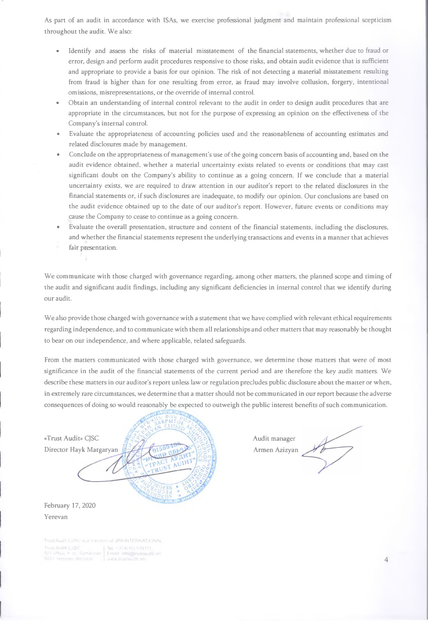As part of an audit in accordance with ISAs, we exercise professional judgment and maintain professional scepticism throughout the audit. We also:

- Identify and assess the risks of material misstatement of the financial statements, whether due to fraud or error, design and perform audit procedures responsive to those risks, and obtain audit evidence that is sufficient and appropriate to provide a basis for our opinion. The risk of not detecting a material misstatement resulting from fraud is higher than for one resulting from error, as fraud may involve collusion, forgery, intentional omissions, misrepresentations, or the override of internal control.
- Obtain an understanding of internal control relevant to the audit in order to design audit procedures that are appropriate in the circumstances, but not for the purpose of expressing an opinion on the effectiveness of the Company's internal control.
- Evaluate the appropriateness of accounting policies used and the reasonableness of accounting estimates and related disclosures made by management.
- Conclude on the appropriateness of management's use of the going concern basis of accounting and, based on the audit evidence obtained, whether a material uncertainty exists related to events or conditions that may cast significant doubt on the Company's ability to continue as a going concern. If we conclude that a material uncertainty exists, we are required to draw attention in our auditor's report to the related disclosures in the financial statements or, if such disclosures are inadequate, to modify our opinion. Our conclusions are based on the audit evidence obtained up to the date of our auditor's report. However, future events or conditions may cause the Company to cease to continue as a going concern.
- Evaluate the overall presentation, structure and content of the financial statements, including the disclosures, and whether the financial statements represent the underlying transactions and events in a manner that achieves

Tot ♦374П0)516111 Email and structure americans we find the find  $4$ 

fair presentation.

We communicate with those charged with governance regarding, among other matters, the planned scope and timing of the audit and significant audit findings, including any significant deficiencies in internal control that we identify during our audit.

We also provide those charged with governance with a statement that we have complied with relevant ethical requirements regarding independence, and to communicate with them all relationships and other matters that may reasonably be thought to bear on our independence, and where applicable, related safeguards.

From the matters communicated with those charged with governance, we determine those matters that were of most significance in the audit of the financial statements of the current period and are therefore the key audit matters. We describe these matters in our auditor's report unless law or regulation precludes public disclosure about the matter or when, in extremely rare circumstances, we determine that a matter should not be communicated in our report because the adverse consequences of doing so would reasonably be expected to outweigh the public interest benefits of such communication.

«Trust Audit» CJSC Director Наук Margaryan

3»

ан<br>См. 13

**ВЕТО Щ** 

 $\mathbb{Z}_{\sim}$   $\mathbb{C}$ 

*&*

*UJ*



ы т

 $AU^{11}$ 

റ $\circ$ ം

 $\rightarrow$   $\rightarrow$ 

February 17, 2020

Yerevan

Audit manager Armen Azizyan

Trust Audit CJSC is а member *of* JPA INTERNATIONAL

Trust Audit CJSC *3J'* office 8 st: Tumanyar 0001 Yerevan. Armenia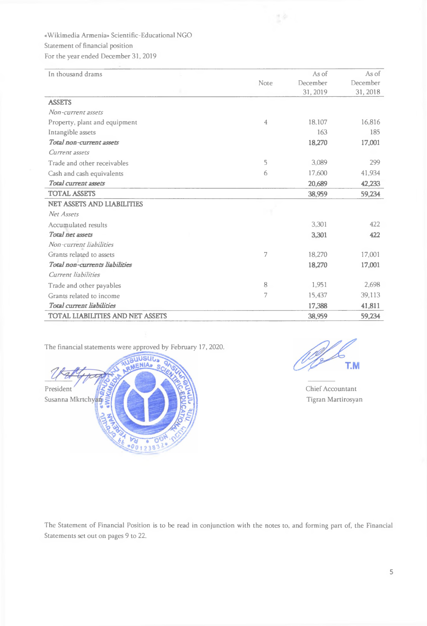Statement of financial position

For the year ended December 31, 2019

| In thousand drams             |             | As of    | As of    |
|-------------------------------|-------------|----------|----------|
|                               | <b>Note</b> | December | December |
|                               |             | 31, 2019 | 31, 2018 |
| <b>ASSETS</b>                 |             |          |          |
| Non-current assets            |             |          |          |
| Property, plant and equipment | 4           | 18,107   | 16,816   |
| Intangible assets             |             | 163      | 185      |
| Total non-current assets      |             | 18,270   | 17,001   |
| <b>Current assets</b>         |             |          |          |
| Trade and other receivables   | 5           | 3,089    | 299      |
| Cash and cash equivalents     | 6           | 17,600   | 41,934   |
| Total current assets          |             | 20,689   | 42,233   |
| TOTAL ASSETS                  |             | 38,959   | 59,234   |
| NET ASSETS AND LIABILITIES    |             |          |          |
| <b>Net Assets</b>             |             |          |          |
| <b>Accumulated results</b>    |             | 3,301    | 422      |
| <b>Total net assets</b>       |             | 3,301    | 422      |

g e

*Non -current liabilities*

| TOTAL LIABILITIES AND NET ASSETS |   | 38,959 | 59,234 |
|----------------------------------|---|--------|--------|
| Total current liabilities        |   | 17,388 | 41,811 |
| Grants related to income         |   | 15,437 | 39,113 |
| Trade and other payables         | 8 | 1.951  | 2,698  |
| <b>Current liabilities</b>       |   |        |        |
| Total non-currents liabilities   |   | 18,270 | 17,001 |
| Grants related to assets         |   | 18,270 | 17,001 |
| <i>INON-CULTUR DEDICIUS</i>      |   |        |        |

The financial statements were approved by February 17, 2020.



T.M

Chief Accountant Tigran Martirosyan

The Statement of Financial Position is to be read in conjunction with the notes to, and forming part of, the Financial Statements set out on pages 9 to 22.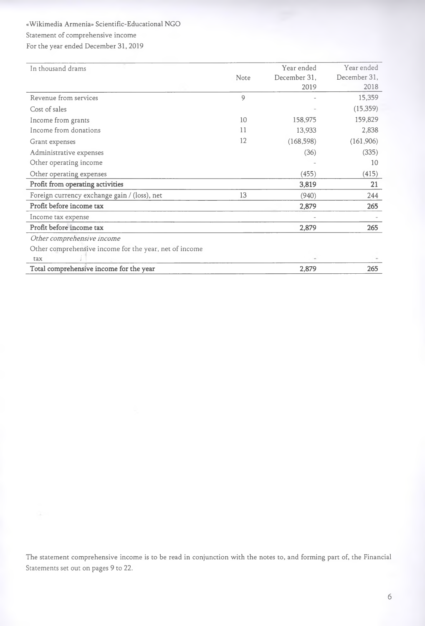Statement of comprehensive income

For the year ended December 31, 2019

| In thousand drams                            |      | Year ended                      | Year ended   |
|----------------------------------------------|------|---------------------------------|--------------|
|                                              | Note | December 31,                    | December 31, |
|                                              |      | 2019                            | 2018         |
| Revenue from services                        | 9    | $\qquad \qquad$                 | 15,359       |
| Cost of sales                                |      |                                 | (15,359)     |
| Income from grants                           | 10   | 158,975                         | 159,829      |
| Income from donations                        | 11   | 13,933                          | 2,838        |
| <b>Grant expenses</b>                        | 12   | (168, 598)                      | (161,906)    |
| Administrative expenses                      |      | (36)                            | (335)        |
| Other operating income                       |      |                                 | 10           |
| Other operating expenses                     |      | (455)                           | (415)        |
| Profit from operating activities             |      | 3,819                           | 21           |
| Foreign currency exchange gain / (loss), net | 13   | (940)                           | 244          |
| Profit before income tax                     |      | 2,879                           | 265          |
| Income tax expense                           |      | $\hspace{0.1mm}-\hspace{0.1mm}$ |              |
| Profit before income tax                     |      | 2,879                           | 265          |
|                                              |      |                                 |              |

*Other comprehensive income*

Q. . .

|     | Other comprehensive income for the year, net of income |       |     |
|-----|--------------------------------------------------------|-------|-----|
| tax |                                                        |       |     |
|     | Total comprehensive income for the year                | 2,879 | 265 |

The statement comprehensive income is to be read in conjunction with the notes to, and forming part of, the Financial Statements set out on pages 9 to 22.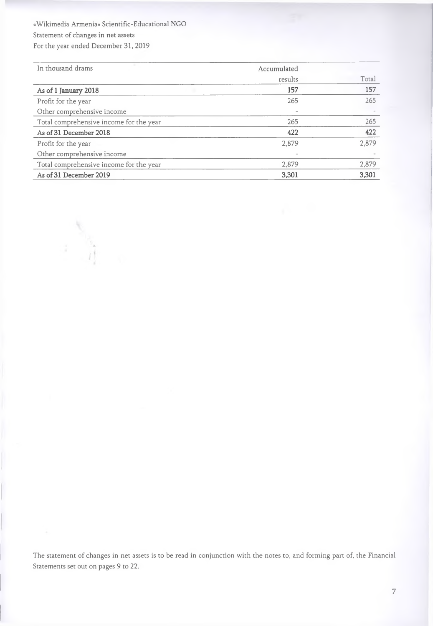Statement of changes in net assets

For the year ended December 31, 2019

| In thousand drams                       | Accumulated |       |  |
|-----------------------------------------|-------------|-------|--|
|                                         | results     | Total |  |
| As of 1 January 2018                    | 157         | 157   |  |
| Profit for the year                     | 265         | 265   |  |
| Other comprehensive income              |             |       |  |
| Total comprehensive income for the year | 265         | 265   |  |
| As of 31 December 2018                  | 422         | 422   |  |
| Profit for the year                     | 2,879       | 2,879 |  |
| Other comprehensive income              |             |       |  |
| Total comprehensive income for the year | 2,879       | 2,879 |  |
| As of 31 December 2019                  | 3,301       | 3,301 |  |



 $\sim 0.1$ 

The statement of changes in net assets is to be read in conjunction with the notes to, and forming part of, the Financial Statements set out on pages 9 to 22.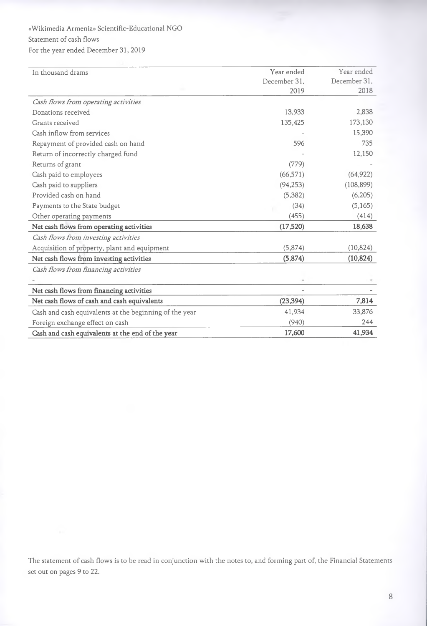Statement of cash flows

For the year ended December 31, 2019

| In thousand drams                           | Year ended   | Year ended   |
|---------------------------------------------|--------------|--------------|
|                                             | December 31, | December 31, |
|                                             | 2019         | 2018         |
| <b>Cash flows from operating activities</b> |              |              |
| Donations received                          | 13,933       | 2,838        |
| Grants received                             | 135,425      | 173,130      |
| Cash inflow from services                   |              | 15,390       |
| Repayment of provided cash on hand          | 596          | 735          |
| Return of incorrectly charged fund          |              | 12,150       |
| Returns of grant                            | (779)        |              |
| Cash paid to employees                      | (66, 571)    | (64, 922)    |
| Cash paid to suppliers                      | (94, 253)    | (108, 899)   |
| Provided cash on hand                       | (5, 382)     | (6,205)      |
| Payments to the State budget                | (34)         | (5,165)      |
| Other operating payments                    | (455)        | (414)        |
| Net cash flows from operating activities    | (17,520)     | 18,638       |
|                                             |              |              |

The statement of cash flows is to be read in conjunction with the notes to, and forming part of, the Financial Statements set out on pages 9 to 22.

*Cash flows from investing activities*

| Acquisition of property, plant and equipment           | (5, 874)  | (10, 824) |
|--------------------------------------------------------|-----------|-----------|
| Net cash flows from investing activities               | (5,874)   | (10, 824) |
| Cash flows from financing activities                   |           |           |
|                                                        |           |           |
| Net cash flows from financing activities               |           |           |
| Net cash flows of cash and cash equivalents            | (23, 394) | 7,814     |
| Cash and cash equivalents at the beginning of the year | 41,934    | 33,876    |
| Foreign exchange effect on cash                        | (940)     | 244       |
| Cash and cash equivalents at the end of the year       | 17,600    | 41,934    |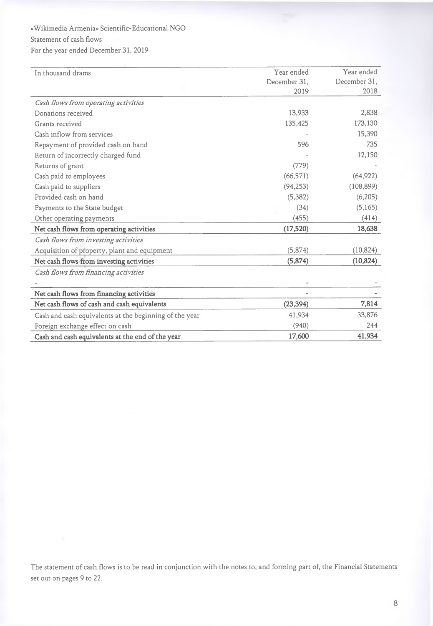Statement of cash flows

For the year ended December 31, 2019

| In thousand drams                           | Year ended   | Year ended   |
|---------------------------------------------|--------------|--------------|
|                                             | December 31, | December 31, |
|                                             | 2019         | 2018         |
| <b>Cash flows from operating activities</b> |              |              |
| Donations received                          | 13,933       | 2,838        |
| Grants received                             | 135,425      | 173,130      |
| Cash inflow from services                   |              | 15,390       |
| Repayment of provided cash on hand          | 596          | 735          |
| Return of incorrectly charged fund          |              | 12,150       |
| Returns of grant                            | (779)        |              |
| Cash paid to employees                      | (66, 571)    | (64, 922)    |
| Cash paid to suppliers                      | (94, 253)    | (108, 899)   |
| Provided cash on hand                       | (5,382)      | (6,205)      |
| Payments to the State budget                | (34)         | (5,165)      |
| Other operating payments                    | (455)        | (414)        |
| Net cash flows from operating activities    | (17,520)     | 18,638       |
|                                             |              |              |

*Cash flows from investing activities*

| Acquisition of property, plant and equipment           | (5,874)   | (10, 824) |
|--------------------------------------------------------|-----------|-----------|
| Net cash flows from investing activities               | (5,874)   | (10, 824) |
| Cash flows from financing activities                   |           |           |
|                                                        |           |           |
| Net cash flows from financing activities               |           |           |
| Net cash flows of cash and cash equivalents            | (23, 394) | 7,814     |
| Cash and cash equivalents at the beginning of the year | 41,934    | 33,876    |
| Foreign exchange effect on cash                        | (940)     | 244       |
| Cash and cash equivalents at the end of the year       | 17,600    | 41,934    |

The statement of cash flows is to be read in conjunction with the notes to, and forming part of, the Financial Statements set out on pages 9 to 22.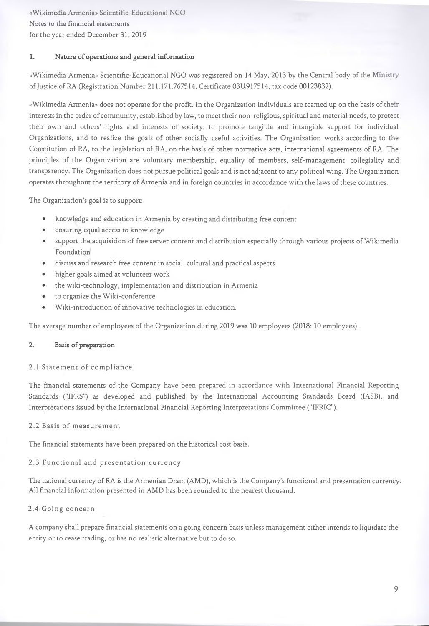# 1. Nature of operations and general information

«Wikimedia Armenia» Scientific-Educational NGO was registered on 14 May, 2013 by the Central body of the Ministry of Justice of RA (Registration Number 211.171.767514, Certificate 03U917514, tax code 00123832).

«Wikimedia Armenia» does not operate for the profit. In the Organization individuals are teamed up on the basis of their interests in the order of community, established by law, to meet their non-religious, spiritual and material needs, to protect their own and others' rights and interests of society, to promote tangible and intangible support for individual Organizations, and to realize the goals of other socially useful activities. The Organization works according to the Constitution of RA, to the legislation of RA, on the basis of other normative acts, international agreements of RA. The principles of the Organization are voluntary membership, equality of members, self-management, collegiality and transparency. The Organization does not pursue political goals and is not adjacent to any political wing. The Organization operates throughout the territory of Armenia and in foreign countries in accordance with the laws of these countries.

The Organization's goal is to support:

- knowledge and education in Armenia by creating and distributing free content
- ensuring equal access to knowledge
- support the acquisition of free server content and distribution especially through various projects of Wikimedia
- Foundation
- discuss and research free content in social, cultural and practical aspects
- higher goals aimed at volunteer work
- the wiki-technology, implementation and distribution in Armenia
- to organize the Wiki-conference
- Wiki-introduction of innovative technologies in education.

The average number of employees of the Organization during 2019 was 10 employees (2018: 10 employees).

# 2. Basis of preparation

# 2.1 Statement of compliance

The financial statements of the Company have been prepared in accordance with International Financial Reporting Standards ("IFRS") as developed and published by the International Accounting Standards Board (IASB), and Interpretations issued by the International Financial Reporting Interpretations Committee ("IFRIC").

# 2.2 Basis of measurement

The financial statements have been prepared on the historical cost basis.

# 2.3 Functional and presentation currency

The national currency of RA is the Armenian Dram (AMD), which is the Company's functional and presentation currency. All financial information presented in AMD has been rounded to the nearest thousand.

#### 2.4 Going concern

A company shall prepare financial statements on a going concern basis unless management either intends to liquidate the entity or to cease trading, or has no realistic alternative but to do so.

«Wikimedia Armenia» Scientific-Educational NGO Notes to the financial statements for the year ended December 31, 2019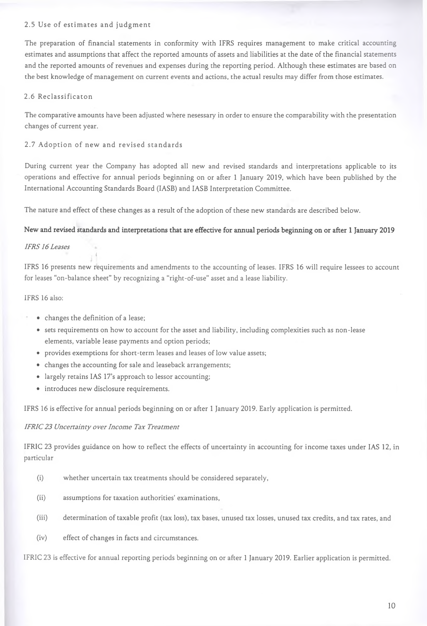#### 2.5 Use of estimates and judgment

The preparation of financial statements in conformity with IFRS requires management to make critical accounting estimates and assumptions that affect the reported amounts of assets and liabilities at the date of the financial statements and the reported amounts of revenues and expenses during the reporting period. Although these estimates are based on the best knowledge of management on current events and actions, the actual results may differ from those estimates.

#### 2.6 Reclassificaton

The comparative amounts have been adjusted where nesessary in order to ensure the comparability with the presentation changes of current year.

### 2.7 Adoption of new and revised standards

During current year the Company has adopted all new and revised standards and interpretations applicable to its operations and effective for annual periods beginning on or after 1 January 2019, which have been published by the International Accounting Standards Board (IASB) and IASB Interpretation Committee.

The nature and effect of these changes as a result of the adoption of these new standards are described below.

New and revised standards and interpretations that are effective for annual periods beginning on or after 1 January 2019 *IFRS 16 Leases*

, *{*

IFRS 16 presents new requirements and amendments to the accounting of leases. IFRS 16 will require lessees to account for leases "on-balance sheet" by recognizing a "right-of-use" asset and a lease liability.

# IFRS 16 also:

• changes the definition of a lease;

- sets requirements on how to account for the asset and liability, including complexities such as non-lease elements, variable lease payments and option periods;
- provides exemptions for short-term leases and leases of low value assets;
- changes the accounting for sale and leaseback arrangements;
- largely retains IAS 17's approach to lessor accounting;
- introduces new disclosure requirements.

IFRS 16 is effective for annual periods beginning on or after 1 January 2019. Early application is permitted.

#### *IFRIC 23 Uncertainty over Income Tax Treatment*

IFRIC 23 provides guidance on how to reflect the effects of uncertainty in accounting for income taxes under IAS 12, in particular

- (i) whether uncertain tax treatments should be considered separately,
- (ii) assumptions for taxation authorities' examinations,

(iii) determination of taxable profit (tax loss), tax bases, unused tax losses, unused tax credits, and tax rates, and

(iv) effect of changes in facts and circumstances.

IFRIC 23 is effective for annual reporting periods beginning on or after 1 January 2019. Earlier application is permitted.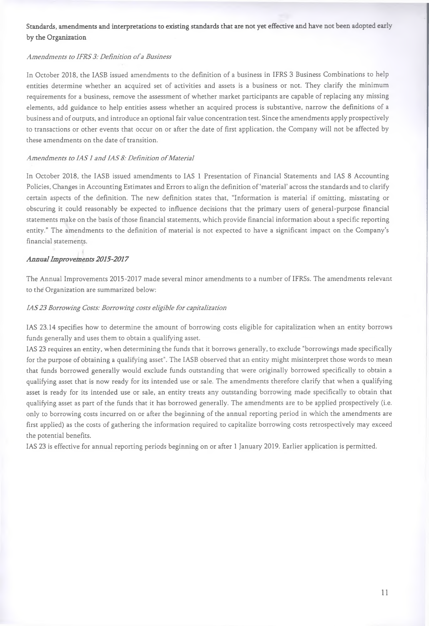Standards, amendments and interpretations to existing standards that are not yet effective and have not been adopted early by the Organization

#### **Amendments to IFRS 3: Definition of a Business**

In October 2018, the IASB issued amendments to the definition of a business in IFRS 3 Business Combinations to help entities determine whether an acquired set of activities and assets is a business or not. They clarify the minimum requirements for a business, remove the assessment of whether market participants are capable of replacing any missing elements, add guidance to help entities assess whether an acquired process is substantive, narrow the definitions of a business and of outputs, and introduce an optional fair value concentration test. Since the amendments apply prospectively to transactions or other events that occur on or after the date of first application, the Company will not be affected by these amendments on the date of transition.

#### Amendments to IAS 1 and IAS 8: Definition of Material

In October 2018, the IASB issued amendments to IAS 1 Presentation of Financial Statements and IAS 8 Accounting Policies, Changes in Accounting Estimates and Errors to align the definition of 'material' across the standards and to clarify certain aspects of the definition. The new definition states that, "Information is material if omitting, misstating or obscuring it could reasonably be expected to influence decisions that the primary users of general-purpose financial statements make on the basis of those financial statements, which provide financial information about a specific reporting entity." The amendments to the definition of material is not expected to have a significant impact on the Company's financial statements.

# *Annual Improvements 2015-2017*

The Annual Improvements 2015-2017 made several minor amendments to a number of IFRSs. The amendments relevant to the Organization are summarized below:

# *IA S23 Borrowing Costs: Borrowing costs eligible for capitalization*

IAS 23.14 specifies how to determine the amount of borrowing costs eligible for capitalization when an entity borrows funds generally and uses them to obtain a qualifying asset.

IAS 23 requires an entity, when determining the funds that it borrows generally, to exclude "borrowings made specifically for the purpose of obtaining a qualifying asset". The IASB observed that an entity might misinterpret those words to mean that funds borrowed generally would exclude funds outstanding that were originally borrowed specifically to obtain a qualifying asset that is now ready for its intended use or sale. The amendments therefore clarify that when a qualifying asset is ready for its intended use or sale, an entity treats any outstanding borrowing made specifically to obtain that qualifying asset as part of the funds that it has borrowed generally. The amendments are to be applied prospectively (i.e. only to borrowing costs incurred on or after the beginning of the annual reporting period in which the amendments are first applied) as the costs of gathering the information required to capitalize borrowing costs retrospectively may exceed the potential benefits.

IAS 23 is effective for annual reporting periods beginning on or after 1 January 2019. Earlier application is permitted.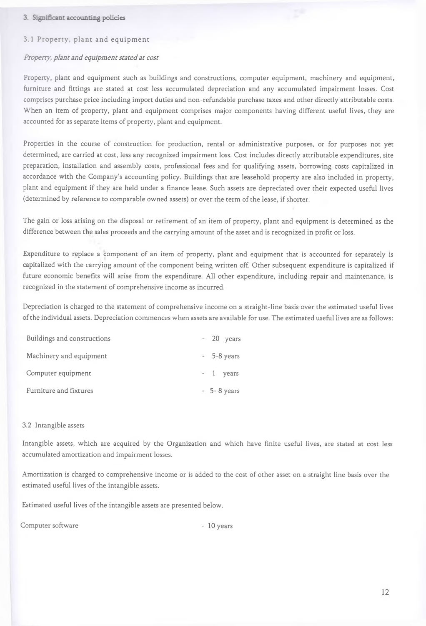#### 3. Significant accounting policies

#### 3.1 Property, plant and equipment

#### *Property, plant and equipment stated at cost*

Property, plant and equipment such as buildings and constructions, computer equipment, machinery and equipment, furniture and fittings are stated at cost less accumulated depreciation and any accumulated impairment losses. Cost comprises purchase price including import duties and non-refundable purchase taxes and other directly attributable costs. When an item of property, plant and equipment comprises major components having different useful lives, they are accounted for as separate items of property, plant and equipment.

Properties in the course of construction for production, rental or administrative purposes, or for purposes not yet determined, are carried at cost, less any recognized impairment loss. Cost includes directly attributable expenditures, site preparation, installation and assembly costs, professional fees and for qualifying assets, borrowing costs capitalized in accordance with the Company's accounting policy. Buildings that are leasehold property are also included in property, plant and equipment if they are held under a finance lease. Such assets are depreciated over their expected useful lives (determined by reference to comparable owned assets) or over the term of the lease, if shorter.

The gain or loss arising on the disposal or retirement of an item of property, plant and equipment is determined as the difference between the sales proceeds and the carrying amount of the asset and is recognized in profit or loss.

Expenditure to replace a component of an item of property, plant and equipment that is accounted for separately is capitalized with the carrying amount of the component being written off. Other subsequent expenditure is capitalized if future economic benefits will arise from the expenditure. All other expenditure, including repair and maintenance, is recognized in the statement of comprehensive income as incurred.

Depreciation is charged to the statement of comprehensive income on a straight-line basis over the estimated useful lives of the individual assets. Depreciation commences when assets are available for use. The estimated useful lives are as follows:

| Buildings and constructions   | $-20$ years    |
|-------------------------------|----------------|
| Machinery and equipment       | $-5-8$ years   |
| Computer equipment            | $-1$ years     |
| <b>Furniture and fixtures</b> | $-5 - 8$ years |

### 3.2 Intangible assets

Intangible assets, which are acquired by the Organization and which have finite useful lives, are stated at cost less accumulated amortization and impairment losses.

Amortization is charged to comprehensive income or is added to the cost of other asset on a straight line basis over the estimated useful lives of the intangible assets.

Estimated useful lives of the intangible assets are presented below.

Computer software - 10 years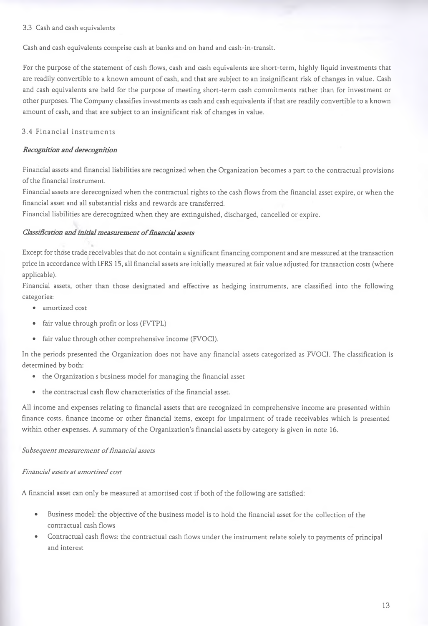# 3.3 Cash and cash equivalents

Cash and cash equivalents comprise cash at banks and on hand and cash-in-transit.

For the purpose of the statement of cash flows, cash and cash equivalents are short-term, highly liquid investments that are readily convertible to a known amount of cash, and that are subject to an insignificant risk of changes in value. Cash and cash equivalents are held for the purpose of meeting short-term cash commitments rather than for investment or other purposes. The Company classifies investments as cash and cash equivalents if that are readily convertible to a known amount of cash, and that are subject to an insignificant risk of changes in value.

#### 3.4 Financial instruments

### *Recognition and derecognition*

Financial assets and financial liabilities are recognized when the Organization becomes a part to the contractual provisions of the financial instrument.

Financial assets are derecognized when the contractual rights to the cash flows from the financial asset expire, or when the financial asset and all substantial risks and rewards are transferred.

Financial liabilities are derecognized when they are extinguished, discharged, cancelled or expire.

# *Classification and in itial m easurem ent o f financial assets*

Except for those trade receivables that do not contain a significant financing component and are measured at the transaction price in accordance with IFRS 15, all financial assets are initially measured at fair value adjusted for transaction costs (where applicable).

Financial assets, other than those designated and effective as hedging instruments, are classified into the following categories:

- amortized cost
- fair value through profit or loss (FVTPL)
- fair value through other comprehensive income (FVOCI).

In the periods presented the Organization does not have any financial assets categorized as FVOCI. The classification is determined by both:

- the Organization's business model for managing the financial asset
- the contractual cash flow characteristics of the financial asset.

All income and expenses relating to financial assets that are recognized in comprehensive income are presented within finance costs, finance income or other financial items, except for impairment of trade receivables which is presented within other expenses. A summary of the Organization's financial assets by category is given in note 16.

#### **Subsequent measurement of financial assets**

#### *Financial assets at am ortised cost*

A financial asset can only be measured at amortised cost if both of the following are satisfied:

- Business model: the objective of the business model is to hold the financial asset for the collection of the contractual cash flows
- Contractual cash flows: the contractual cash flows under the instrument relate solely to payments of principal and interest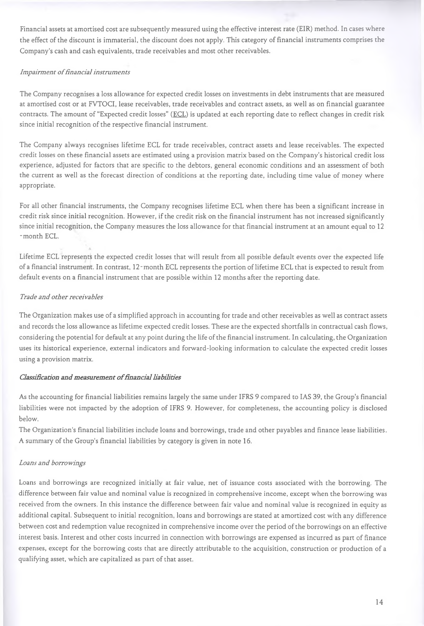Financial assets at amortised cost are subsequently measured using the effective interest rate (EIR) method. In cases where the effect of the discount is immaterial, the discount does not apply. This category of financial instruments comprises the Company's cash and cash equivalents, trade receivables and most other receivables.

# **Impairment of financial instruments**

The Company recognises a loss allowance for expected credit losses on investments in debt instruments that are measured at amortised cost or at FVTOCI, lease receivables, trade receivables and contract assets, as well as on financial guarantee contracts. The amount of "Expected credit losses" (ECL) is updated at each reporting date to reflect changes in credit risk since initial recognition of the respective financial instrument.

The Company always recognises lifetime ECL for trade receivables, contract assets and lease receivables. The expected credit losses on these financial assets are estimated using a provision matrix based on the Company's historical credit loss experience, adjusted for factors that are specific to the debtors, general economic conditions and an assessment of both the current as well as the forecast direction of conditions at the reporting date, including time value of money where appropriate.

For all other financial instruments, the Company recognises lifetime ECL when there has been a significant increase in credit risk since initial recognition. However, if the credit risk on the financial instrument has not increased significantly since initial recognition, the Company measures the loss allowance for that financial instrument at an amount equal to 12 -month ECL.

Lifetime ECL represents the expected credit losses that will result from all possible default events over the expected life of a financial instrument. In contrast, 12-month ECL represents the portion of lifetime ECL that is expected to result from default events on a financial instrument that are possible within 12 months after the reporting date.

# *Trade and other receivables*

The Organization makes use of a simplified approach in accounting for trade and other receivables as well as contract assets and records the loss allowance as lifetime expected credit losses. These are the expected shortfalls in contractual cash flows, considering the potential for default at any point during the life of the financial instrument. In calculating, the Organization uses its historical experience, external indicators and forward-looking information to calculate the expected credit losses using a provision matrix.

### *Classification and m easurem ent o f financial liabilities*

As the accounting for financial liabilities remains largely the same under IFRS 9 compared to IAS 39, the Group's financial liabilities were not impacted by the adoption of IFRS 9. However, for completeness, the accounting policy is disclosed below.

The Organization's financial liabilities include loans and borrowings, trade and other payables and finance lease liabilities. A summary of the Group's financial liabilities by category is given in note 16.

# *Loans and borrowings*

Loans and borrowings are recognized initially at fair value, net of issuance costs associated with the borrowing. The

difference between fair value and nominal value is recognized in comprehensive income, except when the borrowing was received from the owners. In this instance the difference between fair value and nominal value is recognized in equity as additional capital. Subsequent to initial recognition, loans and borrowings are stated at amortized cost with any difference between cost and redemption value recognized in comprehensive income over the period of the borrowings on an effective interest basis. Interest and other costs incurred in connection with borrowings are expensed as incurred as part of finance expenses, except for the borrowing costs that are directly attributable to the acquisition, construction or production of a qualifying asset, which are capitalized as part of that asset.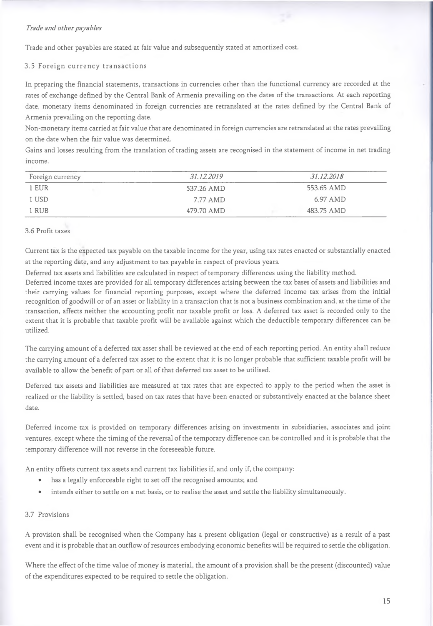#### *Trade and other payables*

Trade and other payables are stated at fair value and subsequently stated at amortized cost.

# 3.5 Foreign currency transactions

In preparing the financial statements, transactions in currencies other than the functional currency are recorded at the rates of exchange defined by the Central Bank of Armenia prevailing on the dates of the transactions. At each reporting date, monetary items denominated in foreign currencies are retranslated at the rates defined by the Central Bank of Armenia prevailing on the reporting date.

Non-monetary items carried at fair value that are denominated in foreign currencies are retranslated at the rates prevailing on the date when the fair value was determined.

Gains and losses resulting from the translation of trading assets are recognised in the statement of income in net trading income.

| Foreign currency | 31.12.2019 | 31.12.2018 |
|------------------|------------|------------|
| 1 EUR            | 537.26 AMD | 553.65 AMD |
| 1 USD            | 7.77 AMD   | 6.97 AMD   |
| 1 RUB            | 479.70 AMD | 483.75 AMD |

#### 3.6 Profit taxes

Current tax is the expected tax payable on the taxable income for the year, using tax rates enacted or substantially enacted at the reporting date, and any adjustment to tax payable in respect of previous years.

Deferred tax assets and liabilities are calculated in respect of temporary differences using the liability method. Deferred income taxes are provided for all temporary differences arising between the tax bases of assets and liabilities and their carrying values for financial reporting purposes, except where the deferred income tax arises from the initial recognition of goodwill or of an asset or liability in a transaction that is not a business combination and, at the time of the transaction, affects neither the accounting profit nor taxable profit or loss. A deferred tax asset is recorded only to the extent that it is probable that taxable profit will be available against which the deductible temporary differences can be utilized.

The carrying amount of a deferred tax asset shall be reviewed at the end of each reporting period. An entity shall reduce the carrying amount of a deferred tax asset to the extent that it is no longer probable that sufficient taxable profit will be available to allow the benefit of part or all of that deferred tax asset to be utilised.

Deferred tax assets and liabilities are measured at tax rates that are expected to apply to the period when the asset is realized or the liability is settled, based on tax rates that have been enacted or substantively enacted at the balance sheet date.

Deferred income tax is provided on temporary differences arising on investments in subsidiaries, associates and joint ventures, except where the timing of the reversal of the temporary difference can be controlled and it is probable that the temporary difference will not reverse in the foreseeable future.

An entity offsets current tax assets and current tax liabilities if, and only if, the company:

- has a legally enforceable right to set off the recognised amounts; and
- 

• intends either to settle on a net basis, or to realise the asset and settle the liability simultaneously.

#### 3.7 Provisions

A provision shall be recognised when the Company has a present obligation (legal or constructive) as a result of a past event and it is probable that an outflow of resources embodying economic benefits will be required to settle the obligation.

Where the effect of the time value of money is material, the amount of a provision shall be the present (discounted) value of the expenditures expected to be required to settle the obligation.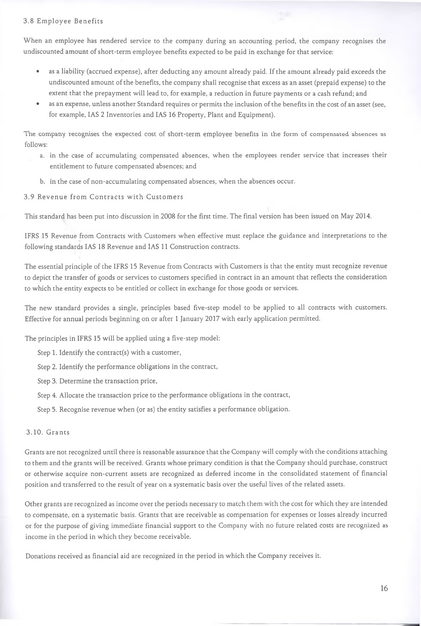#### 3.8 Employee Benefits

When an employee has rendered service to the company during an accounting period, the company recognises the undiscounted amount of short-term employee benefits expected to be paid in exchange for that service:

- a. in the case of accumulating compensated absences, when the employees render service that increases their entitlement to future compensated absences; and
- b. in the case of non-accumulating compensated absences, when the absences occur.
- 3.9 Revenue from Contracts with Customers
- as a liability (accrued expense), after deducting any amount already paid. If the amount already paid exceeds the undiscounted amount of the benefits, the company shall recognise that excess as an asset (prepaid expense) to the extent that the prepayment will lead to, for example, a reduction in future payments or a cash refund; and
- as an expense, unless another Standard requires or permits the inclusion of the benefits in the cost of an asset (see, for example, IAS 2 Inventories and IAS 16 Property, Plant and Equipment).

The company recognises the expected cost of short-term employee benefits in the form of compensated absences as follows:

This standard has been put into discussion in 2008 for the first time. The final version has been issued on May 2014.

IFRS 15 Revenue from Contracts with Customers when effective must replace the guidance and interpretations to the

following standards IAS 18 Revenue and IAS 11 Construction contracts.

The essential principle of the IFRS 15 Revenue from Contracts with Customers is that the entity must recognize revenue to depict the transfer of goods or services to customers specified in contract in an amount that reflects the consideration to which the entity expects to be entitled or collect in exchange for those goods or services.

The new standard provides a single, principles based five-step model to be applied to all contracts with customers. Effective for annual periods beginning on or after 1 January 2017 with early application permitted.

The principles in IFRS 15 will be applied using a five-step model:

Step 1. Identify the contract(s) with a customer,

Step 2. Identify the performance obligations in the contract,

Step 3. Determine the transaction price,

Step 4. Allocate the transaction price to the performance obligations in the contract,

Step 5. Recognise revenue when (or as) the entity satisfies a performance obligation.

# 3.10. Grants

Grants are not recognized until there is reasonable assurance that the Company will comply with the conditions attaching to them and the grants will be received. Grants whose primary condition is that the Company should purchase, construct or otherwise acquire non-current assets are recognized as deferred income in the consolidated statement of financial position and transferred to the result of year on a systematic basis over the useful lives of the related assets.

Other grants are recognized as income over the periods necessary to match them with the cost for which they are intended to compensate, on a systematic basis. Grants that are receivable as compensation for expenses or losses already incurred or for the purpose of giving immediate financial support to the Company with no future related costs are recognized as income in the period in which they become receivable.

Donations received as financial aid are recognized in the period in which the Company receives it.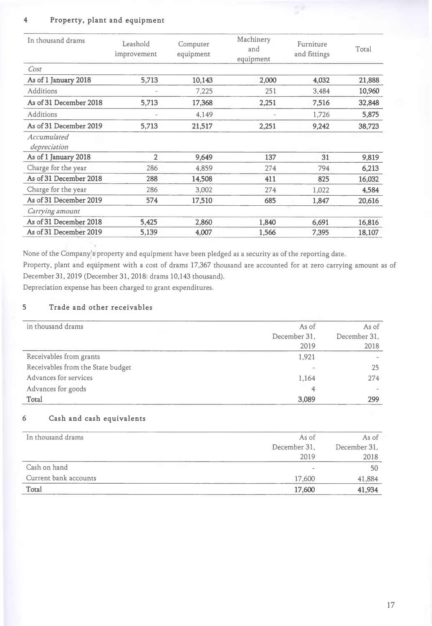# 4 Property, plant and equipment

| In thousand drams           | Leashold<br>improvement | Computer<br>equipment | Machinery<br>and<br>equipment | Furniture<br>and fittings | Total  |
|-----------------------------|-------------------------|-----------------------|-------------------------------|---------------------------|--------|
| Cost                        |                         |                       |                               |                           |        |
| As of 1 January 2018        | 5,713                   | 10,143                | 2,000                         | 4,032                     | 21,888 |
| <b>Additions</b>            |                         | 7,225                 | 251                           | 3,484                     | 10,960 |
| As of 31 December 2018      | 5,713                   | 17,368                | 2,251                         | 7,516                     | 32,848 |
| Additions                   |                         | 4,149                 |                               | 1,726                     | 5,875  |
| As of 31 December 2019      | 5,713                   | 21,517                | 2,251                         | 9,242                     | 38,723 |
| Accumulated<br>depreciation |                         |                       |                               |                           |        |
| As of 1 January 2018        | $\overline{2}$          | 9,649                 | 137                           | 31                        | 9,819  |
| Charge for the year         | 286                     | 4,859                 | 274                           | 794                       | 6,213  |
| As of 31 December 2018      | 288                     | 14,508                | 411                           | 825                       | 16,032 |
| Charge for the year         | 286                     | 3,002                 | 274                           | 1,022                     | 4,584  |
| As of 31 December 2019      | 574                     | 17,510                | 685                           | 1,847                     | 20,616 |
| Carrying amount             |                         |                       |                               |                           |        |
| As of 31 December 2018      | 5,425                   | 2,860                 | 1,840                         | 6,691                     | 16,816 |
| As of 31 December 2019      | 5,139                   | 4,007                 | 1,566                         | 7,395                     | 18,107 |

None of the Company's property and equipment have been pledged as a security as of the reporting date. Property, plant and equipment with a cost of drams 17,367 thousand are accounted for at zero carrying amount as of December 31, 2019 (December 31, 2018: drams 10,143 thousand).

Depreciation expense has been charged to grant expenditures.

# 5 Trade and other receivables

| in thousand drams                 | As of        | As of        |
|-----------------------------------|--------------|--------------|
|                                   | December 31, | December 31, |
|                                   | 2019         | 2018         |
| Receivables from grants           | 1,921        |              |
| Receivables from the State budget |              | 25           |
| Advances for services             | 1,164        | 274          |
| Advances for goods                | 4            |              |
| Total                             | 3,089        | 299          |
| 6<br>Cash and cash equivalents    |              |              |
| In thousand drams                 | As of        | As of        |
|                                   | December 31, | December 31, |
|                                   | 2019         | 2018         |
| Cash on hand                      | $\equiv$     | 50           |
| Current bank accounts             | 17,600       | 41,884       |
| Total                             | 17,600       | 41,934       |
|                                   |              |              |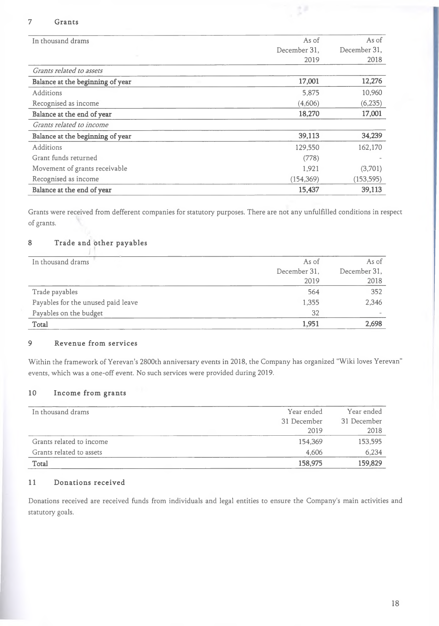7 Grants

| In thousand drams                | As of        | As of        |
|----------------------------------|--------------|--------------|
|                                  | December 31, | December 31, |
|                                  | 2019         | 2018         |
| Grants related to assets         |              |              |
| Balance at the beginning of year | 17,001       | 12,276       |
| <b>Additions</b>                 | 5,875        | 10,960       |
| Recognised as income             | (4,606)      | (6,235)      |
| Balance at the end of year       | 18,270       | 17,001       |
| Grants related to income         |              |              |
| Balance at the beginning of year | 39,113       | 34,239       |
| Additions                        | 129,550      | 162,170      |
| Grant funds returned             | (778)        |              |
| Movement of grants receivable    | 1,921        | (3,701)      |
| Recognised as income             | (154, 369)   | (153, 595)   |
| Balance at the end of year       | 15,437       | 39,113       |

Grants were received from defferent companies for statutory purposes. There are not any unfulfilled conditions in respect of grants.

# 8 Trade and other payables

| In thousand drams                  | As of        | As of        |
|------------------------------------|--------------|--------------|
|                                    | December 31, | December 31, |
|                                    | 2019         | 2018         |
| Trade payables                     | 564          | 352          |
| Payables for the unused paid leave | 1,355        | 2,346        |
| Payables on the budget             | 32           |              |
| Total                              | 1,951        | 2,698        |

#### 9 Revenue from services

Within the framework of Yerevan's 2800th anniversary events in 2018, the Company has organized "Wiki loves Yerevan" events, which was a one-off event. No such services were provided during 2019.

# 10 Income from grants

| In thousand drams        | Year ended  | Year ended  |
|--------------------------|-------------|-------------|
|                          | 31 December | 31 December |
|                          | 2019        | 2018        |
| Grants related to income | 154,369     | 153,595     |
| Grants related to assets | 4,606       | 6,234       |
| Total                    | 158,975     | 159,829     |

# 11 Donations received

Donations received are received funds from individuals and legal entities to ensure the Company's main activities and

statutory goals.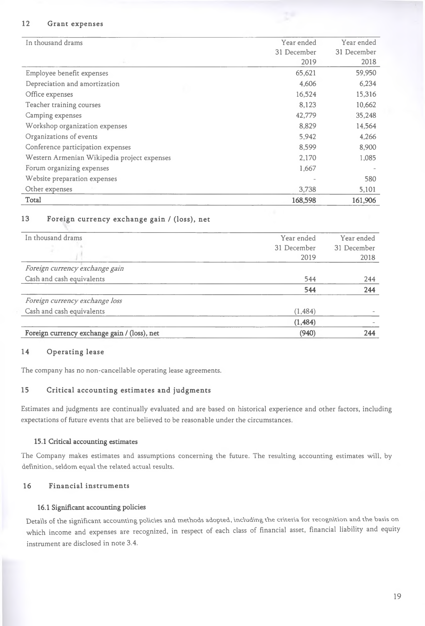#### 12 Grant expenses

| In thousand drams                           | Year ended  | Year ended  |
|---------------------------------------------|-------------|-------------|
|                                             | 31 December | 31 December |
|                                             | 2019        | 2018        |
| Employee benefit expenses                   | 65,621      | 59,950      |
| Depreciation and amortization               | 4,606       | 6,234       |
| Office expenses                             | 16,524      | 15,316      |
| Teacher training courses                    | 8,123       | 10,662      |
| Camping expenses                            | 42,779      | 35,248      |
| Workshop organization expenses              | 8,829       | 14,564      |
| Organizations of events                     | 5,942       | 4,266       |
| Conference participation expenses           | 8,599       | 8,900       |
| Western Armenian Wikipedia project expenses | 2,170       | 1,085       |
| Forum organizing expenses                   | 1,667       |             |
| Website preparation expenses                |             | 580         |
| Other expenses                              | 3,738       | 5,101       |
| Total                                       | 168,598     | 161,906     |

# 13 Foreign currency exchange gain / (loss), net

| In thousand drams                            | Year ended  | Year ended  |
|----------------------------------------------|-------------|-------------|
|                                              | 31 December | 31 December |
|                                              | 2019        | 2018        |
| Foreign currency exchange gain               |             |             |
| Cash and cash equivalents                    | 544         | 244         |
|                                              | 544         | 244         |
| Foreign currency exchange loss               |             |             |
| Cash and cash equivalents                    | (1, 484)    |             |
|                                              | (1,484)     |             |
| Foreign currency exchange gain / (loss), net | (940)       | 244         |

# 14 Operating lease

The company has no non-cancellable operating lease agreements.

# 15 Critical accounting estimates and judgments

Estimates and judgments are continually evaluated and are based on historical experience and other factors, including expectations of future events that are believed to be reasonable under the circumstances.

#### 15.1 Critical accounting estimates

The Company makes estimates and assumptions concerning the future. The resulting accounting estimates will, by definition, seldom equal the related actual results.

### 16 Financial instruments

#### 16.1 Significant accounting policies

Details of the significant accounting policies and methods adopted, including the criteria for recognition and the basis on which income and expenses are recognized, in respect of each class of financial asset, financial liability and equity instrument are disclosed in note 3.4.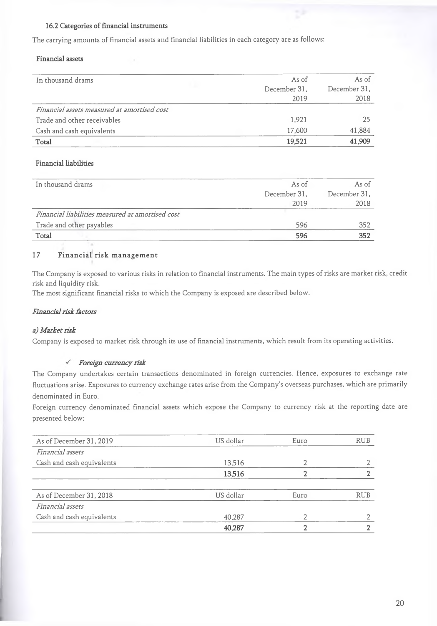#### 16.2 Categories of financial instruments

The carrying amounts of financial assets and financial liabilities in each category are as follows:

#### Financial assets

| In thousand drams                           | As of        | As of        |
|---------------------------------------------|--------------|--------------|
|                                             | December 31, | December 31, |
|                                             | 2019         | 2018         |
| Financial assets measured at amortised cost |              |              |
| Trade and other receivables                 | 1,921        | 25           |
| Cash and cash equivalents                   | 17,600       | 41,884       |
| Total                                       | 19,521       | 41,909       |

#### Financial liabilities

| In thousand drams                                | As of        | As of        |
|--------------------------------------------------|--------------|--------------|
|                                                  | December 31, | December 31, |
|                                                  | 2019         | 2018         |
| Financial liabilities measured at amortised cost |              |              |
| Trade and other payables                         | 596          | 352          |
| Total                                            | 596          | 352          |

# 17 Financial risk management

 $\alpha$ 

#### *Foreign currency risk*  $\checkmark$

The Company is exposed to various risks in relation to financial instruments. The main types of risks are market risk, credit risk and liquidity risk.

The most significant financial risks to which the Company is exposed are described below.

# *Financial risk factors*

# a) Market risk

Company is exposed to market risk through its use of financial instruments, which result from its operating activities.

The Company undertakes certain transactions denominated in foreign currencies. Hence, exposures to exchange rate fluctuations arise. Exposures to currency exchange rates arise from the Company's overseas purchases, which are primarily denominated in Euro.

Foreign currency denominated financial assets which expose the Company to currency risk at the reporting date are presented below:

| As of December 31, 2019   | US dollar | Euro | <b>RUB</b> |
|---------------------------|-----------|------|------------|
| Financial assets          |           |      |            |
| Cash and cash equivalents | 13,516    |      |            |
|                           | 13,516    |      |            |
| As of December 31, 2018   | US dollar | Euro | <b>RUB</b> |

|                           | 40,287 |  |
|---------------------------|--------|--|
| Cash and cash equivalents | 40,287 |  |
| Financial assets          |        |  |